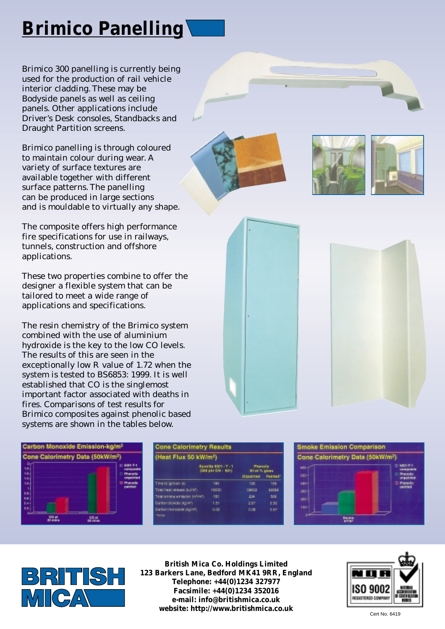## **Brimico Panelling**

Brimico 300 panelling is currently being used for the production of rail vehicle interior cladding. These may be Bodyside panels as well as ceiling panels. Other applications include Driver's Desk consoles, Standbacks and Draught Partition screens.

Brimico panelling is through coloured to maintain colour during wear. A variety of surface textures are available together with different surface patterns. The panelling can be produced in large sections and is mouldable to virtually any shape.

The composite offers high performance fire specifications for use in railways, tunnels, construction and offshore applications.

These two properties combine to offer the designer a flexible system that can be tailored to meet a wide range of applications and specifications.

The resin chemistry of the Brimico system combined with the use of aluminium hydroxide is the key to the low CO levels. The results of this are seen in the exceptionally low R value of 1.72 when the system is tested to BS6853: 1999. It is well established that CO is the singlemost important factor associated with deaths in fires. Comparisons of test results for Brimico composites against phenolic based systems are shown in the tables below.











| <b>Cone Calorimetry Results</b>   |                                             |                                   |            |  |  |
|-----------------------------------|---------------------------------------------|-----------------------------------|------------|--|--|
| (Heat Flux 50 kW/m <sup>2</sup> ) |                                             |                                   |            |  |  |
|                                   | Бразійн 5001 - Т - 1<br> рібі раз СМ - 821) | <b>Phenolic</b><br>30 vit % glass |            |  |  |
|                                   |                                             | <b>Unasimad</b>                   | Painted*   |  |  |
| Time to ignition (e)              | 180                                         | 138                               | 188        |  |  |
| Total heat release (sulin?)       | 19230                                       | \$9653                            | 39589      |  |  |
| Total amples emission (milimit).  | 180                                         | 234                               | <b>SOL</b> |  |  |
| Carbon dioxide (lights)           | 1.51                                        | 2.67                              | 2.30       |  |  |
| Carbon monoide (kg/ni-)<br>*hans. | 0.05                                        | 0.98                              | 0.87       |  |  |
|                                   |                                             |                                   |            |  |  |





**British Mica Co. Holdings Limited 123 Barkers Lane, Bedford MK41 9RR, England Telephone: +44(0)1234 327977 Facsimile: +44(0)1234 352016 e-mail: info@britishmica.co.uk website: http://www.britishmica.co.uk**